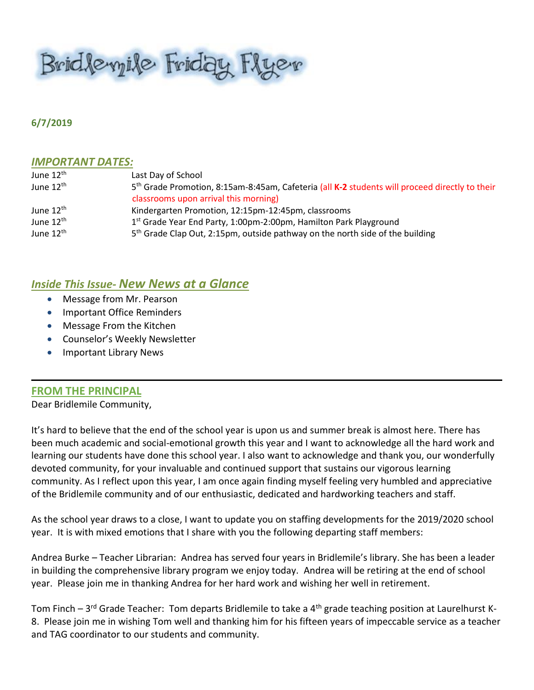Bridleyile Friday Flyer

#### **6/7/2019**

#### *IMPORTANT DATES:*

| June 12 <sup>th</sup> | Last Day of School                                                                                         |
|-----------------------|------------------------------------------------------------------------------------------------------------|
| June $12^{\text{th}}$ | 5 <sup>th</sup> Grade Promotion, 8:15am-8:45am, Cafeteria (all K-2 students will proceed directly to their |
|                       | classrooms upon arrival this morning)                                                                      |
| June 12 <sup>th</sup> | Kindergarten Promotion, 12:15pm-12:45pm, classrooms                                                        |
| June $12^{\text{th}}$ | 1 <sup>st</sup> Grade Year End Party, 1:00pm-2:00pm, Hamilton Park Playground                              |
| June $12^{\text{th}}$ | 5 <sup>th</sup> Grade Clap Out, 2:15pm, outside pathway on the north side of the building                  |

### *Inside This Issue- New News at a Glance*

- Message from Mr. Pearson
- Important Office Reminders
- Message From the Kitchen
- Counselor's Weekly Newsletter
- Important Library News

#### **FROM THE PRINCIPAL**

Dear Bridlemile Community,

It's hard to believe that the end of the school year is upon us and summer break is almost here. There has been much academic and social-emotional growth this year and I want to acknowledge all the hard work and learning our students have done this school year. I also want to acknowledge and thank you, our wonderfully devoted community, for your invaluable and continued support that sustains our vigorous learning community. As I reflect upon this year, I am once again finding myself feeling very humbled and appreciative of the Bridlemile community and of our enthusiastic, dedicated and hardworking teachers and staff.

As the school year draws to a close, I want to update you on staffing developments for the 2019/2020 school year. It is with mixed emotions that I share with you the following departing staff members:

Andrea Burke – Teacher Librarian: Andrea has served four years in Bridlemile's library. She has been a leader in building the comprehensive library program we enjoy today. Andrea will be retiring at the end of school year. Please join me in thanking Andrea for her hard work and wishing her well in retirement.

Tom Finch – 3<sup>rd</sup> Grade Teacher: Tom departs Bridlemile to take a 4<sup>th</sup> grade teaching position at Laurelhurst K-8. Please join me in wishing Tom well and thanking him for his fifteen years of impeccable service as a teacher and TAG coordinator to our students and community.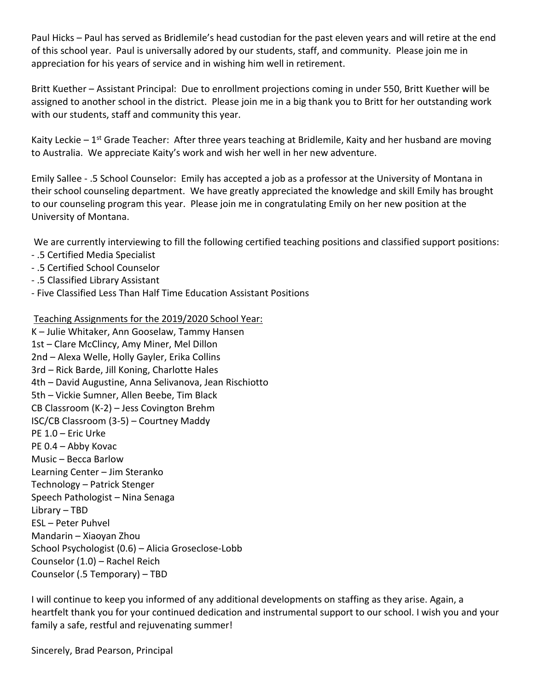Paul Hicks – Paul has served as Bridlemile's head custodian for the past eleven years and will retire at the end of this school year. Paul is universally adored by our students, staff, and community. Please join me in appreciation for his years of service and in wishing him well in retirement.

Britt Kuether – Assistant Principal: Due to enrollment projections coming in under 550, Britt Kuether will be assigned to another school in the district. Please join me in a big thank you to Britt for her outstanding work with our students, staff and community this year.

Kaity Leckie – 1<sup>st</sup> Grade Teacher: After three years teaching at Bridlemile, Kaity and her husband are moving to Australia. We appreciate Kaity's work and wish her well in her new adventure.

Emily Sallee - .5 School Counselor: Emily has accepted a job as a professor at the University of Montana in their school counseling department. We have greatly appreciated the knowledge and skill Emily has brought to our counseling program this year. Please join me in congratulating Emily on her new position at the University of Montana.

We are currently interviewing to fill the following certified teaching positions and classified support positions:

- .5 Certified Media Specialist
- .5 Certified School Counselor
- .5 Classified Library Assistant
- Five Classified Less Than Half Time Education Assistant Positions

Teaching Assignments for the 2019/2020 School Year:

K – Julie Whitaker, Ann Gooselaw, Tammy Hansen 1st – Clare McClincy, Amy Miner, Mel Dillon 2nd – Alexa Welle, Holly Gayler, Erika Collins 3rd – Rick Barde, Jill Koning, Charlotte Hales 4th – David Augustine, Anna Selivanova, Jean Rischiotto 5th – Vickie Sumner, Allen Beebe, Tim Black CB Classroom (K-2) – Jess Covington Brehm ISC/CB Classroom (3-5) – Courtney Maddy PE 1.0 – Eric Urke PE 0.4 – Abby Kovac Music – Becca Barlow Learning Center – Jim Steranko Technology – Patrick Stenger Speech Pathologist – Nina Senaga Library – TBD ESL – Peter Puhvel Mandarin – Xiaoyan Zhou School Psychologist (0.6) – Alicia Groseclose-Lobb Counselor (1.0) – Rachel Reich Counselor (.5 Temporary) – TBD

I will continue to keep you informed of any additional developments on staffing as they arise. Again, a heartfelt thank you for your continued dedication and instrumental support to our school. I wish you and your family a safe, restful and rejuvenating summer!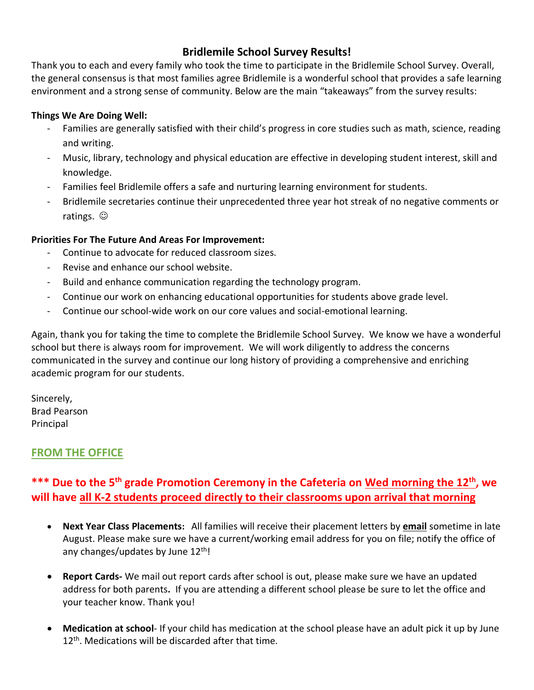# **Bridlemile School Survey Results!**

Thank you to each and every family who took the time to participate in the Bridlemile School Survey. Overall, the general consensus is that most families agree Bridlemile is a wonderful school that provides a safe learning environment and a strong sense of community. Below are the main "takeaways" from the survey results:

#### **Things We Are Doing Well:**

- Families are generally satisfied with their child's progress in core studies such as math, science, reading and writing.
- Music, library, technology and physical education are effective in developing student interest, skill and knowledge.
- Families feel Bridlemile offers a safe and nurturing learning environment for students.
- Bridlemile secretaries continue their unprecedented three year hot streak of no negative comments or ratings.  $\odot$

### **Priorities For The Future And Areas For Improvement:**

- Continue to advocate for reduced classroom sizes.
- Revise and enhance our school website.
- Build and enhance communication regarding the technology program.
- Continue our work on enhancing educational opportunities for students above grade level.
- Continue our school-wide work on our core values and social-emotional learning.

Again, thank you for taking the time to complete the Bridlemile School Survey. We know we have a wonderful school but there is always room for improvement. We will work diligently to address the concerns communicated in the survey and continue our long history of providing a comprehensive and enriching academic program for our students.

Sincerely, Brad Pearson Principal

# **FROM THE OFFICE**

# **\*\*\* Due to the 5th grade Promotion Ceremony in the Cafeteria on Wed morning the 12th, we will have all K-2 students proceed directly to their classrooms upon arrival that morning**

- **Next Year Class Placements:** All families will receive their placement letters by **email** sometime in late August. Please make sure we have a current/working email address for you on file; notify the office of any changes/updates by June 12<sup>th</sup>!
- **Report Cards-** We mail out report cards after school is out, please make sure we have an updated address for both parents**.** If you are attending a different school please be sure to let the office and your teacher know. Thank you!
- **Medication at school** If your child has medication at the school please have an adult pick it up by June 12<sup>th</sup>. Medications will be discarded after that time.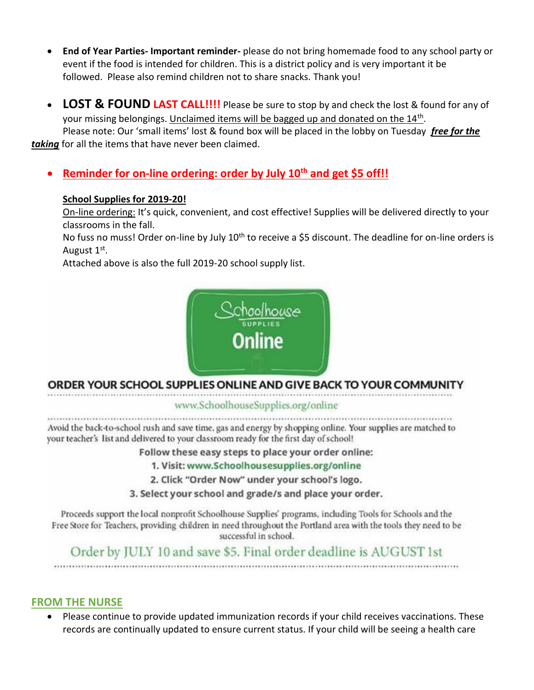- **End of Year Parties- Important reminder-** please do not bring homemade food to any school party or event if the food is intended for children. This is a district policy and is very important it be followed. Please also remind children not to share snacks. Thank you!
- **LOST & FOUND LAST CALL!!!!** Please be sure to stop by and check the lost & found for any of your missing belongings. Unclaimed items will be bagged up and donated on the 14<sup>th</sup>. Please note: Our 'small items' lost & found box will be placed in the lobby on Tuesday *free for the taking* for all the items that have never been claimed.
	- **Reminder for on-line ordering: order by July 10th and get \$5 off!!**

# **School Supplies for 2019-20!**

On-line ordering: It's quick, convenient, and cost effective! Supplies will be delivered directly to your classrooms in the fall.

No fuss no muss! Order on-line by July 10<sup>th</sup> to receive a \$5 discount. The deadline for on-line orders is August 1<sup>st</sup>.

Attached above is also the full 2019-20 school supply list.



# ORDER YOUR SCHOOL SUPPLIES ONLINE AND GIVE BACK TO YOUR COMMUNITY

www.SchoolhouseSupplies.org/online

Avoid the back-to-school rush and save time, gas and energy by shopping online. Your supplies are matched to your teacher's list and delivered to your classroom ready for the first day of school!

Follow these easy steps to place your order online:

1. Visit: www.Schoolhousesupplies.org/online

2. Click "Order Now" under your school's logo.

3. Select your school and grade/s and place your order.

Proceeds support the local nonprofit Schoolhouse Supplies' programs, including Tools for Schools and the Free Store for Teachers, providing children in need throughout the Portland area with the tools they need to be successful in school.

Order by JULY 10 and save \$5. Final order deadline is AUGUST 1st 

**FROM THE NURSE** 

 Please continue to provide updated immunization records if your child receives vaccinations. These records are continually updated to ensure current status. If your child will be seeing a health care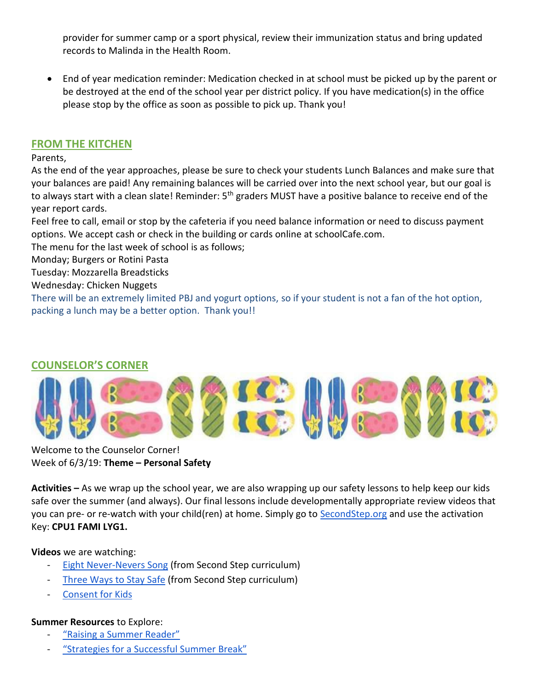provider for summer camp or a sport physical, review their immunization status and bring updated records to Malinda in the Health Room.

 End of year medication reminder: Medication checked in at school must be picked up by the parent or be destroyed at the end of the school year per district policy. If you have medication(s) in the office please stop by the office as soon as possible to pick up. Thank you!

# **FROM THE KITCHEN**

Parents,

As the end of the year approaches, please be sure to check your students Lunch Balances and make sure that your balances are paid! Any remaining balances will be carried over into the next school year, but our goal is to always start with a clean slate! Reminder: 5<sup>th</sup> graders MUST have a positive balance to receive end of the year report cards.

Feel free to call, email or stop by the cafeteria if you need balance information or need to discuss payment options. We accept cash or check in the building or cards online at schoolCafe.com.

The menu for the last week of school is as follows;

Monday; Burgers or Rotini Pasta

Tuesday: Mozzarella Breadsticks

Wednesday: Chicken Nuggets

There will be an extremely limited PBJ and yogurt options, so if your student is not a fan of the hot option, packing a lunch may be a better option. Thank you!!

# **COUNSELOR'S CORNER**



Welcome to the Counselor Corner! Week of 6/3/19: **Theme – Personal Safety**

**Activities –** As we wrap up the school year, we are also wrapping up our safety lessons to help keep our kids safe over the summer (and always). Our final lessons include developmentally appropriate review videos that you can pre- or re-watch with your child(ren) at home. Simply go to [SecondStep.org](https://www.secondstep.org/child-protection) and use the activation Key: **CPU1 FAMI LYG1.** 

#### **Videos** we are watching:

- **[Eight Never-Nevers Song](https://youtu.be/x-dsAqJ3Ln4) (from Second Step curriculum)**
- [Three Ways to Stay Safe](https://youtu.be/c8CcVStRnhc) (from Second Step curriculum)
- [Consent for Kids](https://youtu.be/h3nhM9UlJjc)

#### **Summer Resources** to Explore:

- ["Raising a Summer Reader"](https://kidshealth.org/en/parents/summer-reading.html)
- ["Strategies for a Successful Summer Break"](https://childmind.org/article/strategies-for-a-successful-summer-break/)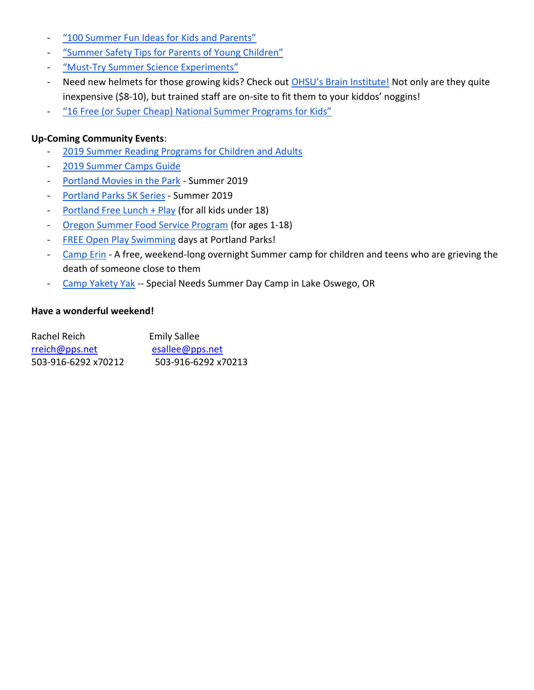- <sup>"</sup> 100 Summer Fun Ideas for Kids and Parents"
- ["Summer Safety Tips for Parents of Young Children"](https://www.positiveparentingconnection.net/summer-safety-tips-for-parents-of-young-children/)
- "Must-[Try Summer Science Experiments"](https://www.highlights.com/parents/family-activities/must-try-summer-science-experiments)
- Need new helmets for those growing kids? Check out [OHSU's Brain Institute!](https://www.ohsu.edu/xd/health/services/brain/in-community/thinkfirst/programs/low-cost-helmets.cfm) Not only are they quite inexpensive (\$8-10), but trained staff are on-site to fit them to your kiddos' noggins!
- ["16 Free \(or Super Cheap\) National Summer Programs for Kids"](http://redtri.com/national-summer-programs-for-families/?fbclid=IwAR3UJ--gXVHIoW_DosSAqhXldb9GwzABwmC4EX6DL6DCiO_qhMpy6FXeRYY)

#### **Up-Coming Community Events**:

- [2019 Summer Reading Programs for Children and Adults](https://precollege.oregonstate.edu/summer-reading-programs-children-and-adults)
- [2019 Summer Camps Guide](https://www.pdxparent.com/portland-summer-camps-guide/)
- [Portland Movies in the Park](https://www.portlandoregon.gov/parks/69554) Summer 2019
- [Portland Parks 5K Series](https://www.portlandoregon.gov/parks/61144) Summer 2019
- [Portland Free Lunch + Play](https://www.portlandoregon.gov/parks/69873) (for all kids under 18)
- [Oregon Summer Food Service Program](https://www.summerfoodoregon.org/) (for ages 1-18)
- [FREE Open Play Swimming](https://www.portlandoregon.gov/parks/article/489147) days at Portland Parks!
- [Camp Erin](https://oregon.providence.org/our-services/c/camp-erin/) A free, weekend-long overnight Summer camp for children and teens who are grieving the death of someone close to them
- [Camp Yakety Yak](http://www.campyaketyyak.org/) -- Special Needs Summer Day Camp in Lake Oswego, OR

#### **Have a wonderful weekend!**

| Rachel Reich        | <b>Emily Sallee</b> |
|---------------------|---------------------|
| rreich@pps.net      | esallee@pps.net     |
| 503-916-6292 x70212 | 503-916-6292 x70213 |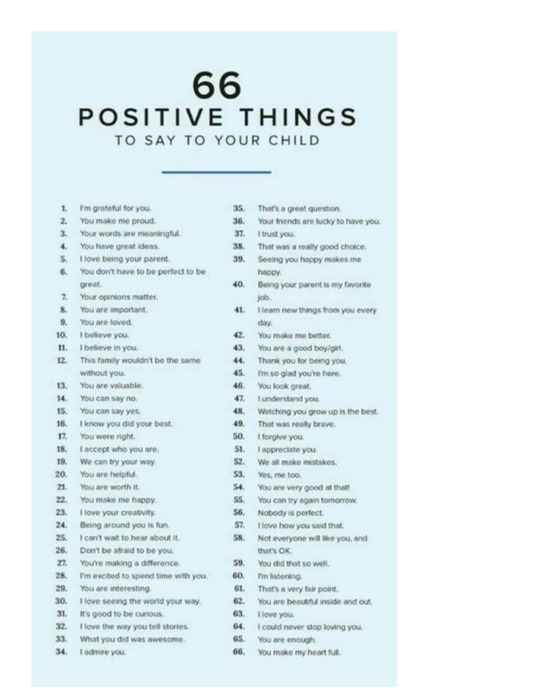# 66 POSITIVE THINGS TO SAY TO YOUR CHILD

| 1.  | I'm grateful for you.               |
|-----|-------------------------------------|
| 2.  | You make me proud.                  |
| 3.  | Your words are meaningful.          |
| 4.  | You have great ideas.               |
| 5.  | I love being your parent.           |
| 6.  | You don't have to be perfect to be  |
|     | great.                              |
| 7.  | Your opinions matter.               |
| 8.  | You are important.                  |
| 9.  | You are loved.                      |
| 10. | I believe you.                      |
| 11. | I believe in you.                   |
| 12. | This family wouldn't be the same.   |
|     | without you.                        |
| 13. | You are valuable.                   |
| 14. | You can say no.                     |
| 15. | You can say yes.                    |
| 16. | I know you did your best.           |
| 17. | You were right.                     |
| 18. | I accept who you are.               |
| 19. | We can try your way.                |
| 20. | You are helpful.                    |
| 21. | You are worth it.                   |
| 22. | You make me happy.                  |
| 23. | I love your creativity.             |
| 24. | Being around you is fun.            |
| 25. | I can't wait to hear about it.      |
| 26. | Don't be afraid to be you.          |
| 27. | You're making a difference.         |
| 28. | I'm excited to spend time with you. |
| 29. | You are interesting.                |
| 30. | I love seeing the world your way.   |
| 31. | It's good to be curious.            |
| 32. | I love the way you tell stories.    |
| 33. | What you did was awesome.           |
| 34. | I admire you.                       |

| 35.<br>That's a great question. |  |  |  |  |  |  |  |  |  |  |  |  |  |  |  |  |  |  |  |  |  |  |  |  |  |  |  |  |  |  |  |  |  |  |  |  |  |  |  |  |  |  |  |  |  |  |  |  |  |  |  |  |  |  |  |  |  |  |  |  |  |  |  |  |  |  |  |  |  |  |  |  |  |  |  |  |  |  |  |  |  |  |  |  |  |  |  |  |  |  |  |  |  |  |  |  |  |  |  |  |  |  |  |  |  |  |  |  |  |  |  |  |  |  |  |  |  |  |  |  |  |  |  |  |  |  |  |  |  |  |  |  |  |  |  |  |  |  |  |  |  |  |  |  |  |  |
|---------------------------------|--|--|--|--|--|--|--|--|--|--|--|--|--|--|--|--|--|--|--|--|--|--|--|--|--|--|--|--|--|--|--|--|--|--|--|--|--|--|--|--|--|--|--|--|--|--|--|--|--|--|--|--|--|--|--|--|--|--|--|--|--|--|--|--|--|--|--|--|--|--|--|--|--|--|--|--|--|--|--|--|--|--|--|--|--|--|--|--|--|--|--|--|--|--|--|--|--|--|--|--|--|--|--|--|--|--|--|--|--|--|--|--|--|--|--|--|--|--|--|--|--|--|--|--|--|--|--|--|--|--|--|--|--|--|--|--|--|--|--|--|--|--|--|--|--|--|
|---------------------------------|--|--|--|--|--|--|--|--|--|--|--|--|--|--|--|--|--|--|--|--|--|--|--|--|--|--|--|--|--|--|--|--|--|--|--|--|--|--|--|--|--|--|--|--|--|--|--|--|--|--|--|--|--|--|--|--|--|--|--|--|--|--|--|--|--|--|--|--|--|--|--|--|--|--|--|--|--|--|--|--|--|--|--|--|--|--|--|--|--|--|--|--|--|--|--|--|--|--|--|--|--|--|--|--|--|--|--|--|--|--|--|--|--|--|--|--|--|--|--|--|--|--|--|--|--|--|--|--|--|--|--|--|--|--|--|--|--|--|--|--|--|--|--|--|--|--|

- 36. Your friends are lucky to have you.
- 37. I trust you.
- 38. That was a really good choice.
- 39. Seeing you happy makes me happy.
- 40. Being your parent is my favorite job.
- 41. Hearn new things from you every day.
- $42.$ You make me better.
- You are a good boy/girl.  $43.$
- 44. Thank you for being you.
- $45.$ I'm so glad you're here.
- 46. You look great.
- 47. I understand you.
- 48. Watching you grow up is the best.
- 49. That was really brave.
- 50. I forgive you.
- 51. l'appreciate you.
- 52. We all make mistakes.
- 53. Yes, me too.
- 54. You are very good at that!
- 55. You can try again tomorrow.
- 56. Nobody is perfect.
- 57. I love how you said that.
- 58. Not everyone will like you, and that's OK.
- 59. You did that so well.
- 60. I'm listening.
- 61. That's a very fair point.
- 62. You are beautiful inside and out.
- 63. I love you.
- 64. I could never stop loving you.
- 65. You are enough.
- 66. You make my heart full.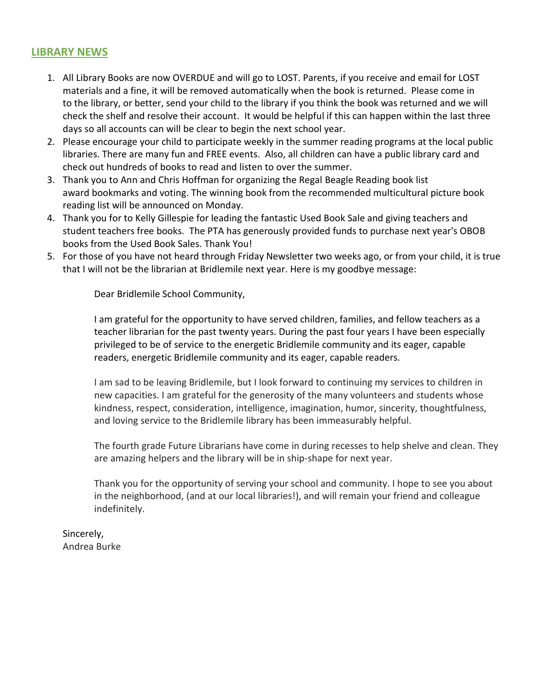# **LIBRARY NEWS**

- 1. All Library Books are now OVERDUE and will go to LOST. Parents, if you receive and email for LOST materials and a fine, it will be removed automatically when the book is returned. Please come in to the library, or better, send your child to the library if you think the book was returned and we will check the shelf and resolve their account. It would be helpful if this can happen within the last three days so all accounts can will be clear to begin the next school year.
- 2. Please encourage your child to participate weekly in the summer reading programs at the local public libraries. There are many fun and FREE events. Also, all children can have a public library card and check out hundreds of books to read and listen to over the summer.
- 3. Thank you to Ann and Chris Hoffman for organizing the Regal Beagle Reading book list award bookmarks and voting. The winning book from the recommended multicultural picture book reading list will be announced on Monday.
- 4. Thank you for to Kelly Gillespie for leading the fantastic Used Book Sale and giving teachers and student teachers free books. The PTA has generously provided funds to purchase next year's OBOB books from the Used Book Sales. Thank You!
- 5. For those of you have not heard through Friday Newsletter two weeks ago, or from your child, it is true that I will not be the librarian at Bridlemile next year. Here is my goodbye message:

Dear Bridlemile School Community,

I am grateful for the opportunity to have served children, families, and fellow teachers as a teacher librarian for the past twenty years. During the past four years I have been especially privileged to be of service to the energetic Bridlemile community and its eager, capable readers, energetic Bridlemile community and its eager, capable readers.

I am sad to be leaving Bridlemile, but I look forward to continuing my services to children in new capacities. I am grateful for the generosity of the many volunteers and students whose kindness, respect, consideration, intelligence, imagination, humor, sincerity, thoughtfulness, and loving service to the Bridlemile library has been immeasurably helpful.

The fourth grade Future Librarians have come in during recesses to help shelve and clean. They are amazing helpers and the library will be in ship-shape for next year.

Thank you for the opportunity of serving your school and community. I hope to see you about in the neighborhood, (and at our local libraries!), and will remain your friend and colleague indefinitely.

Sincerely, Andrea Burke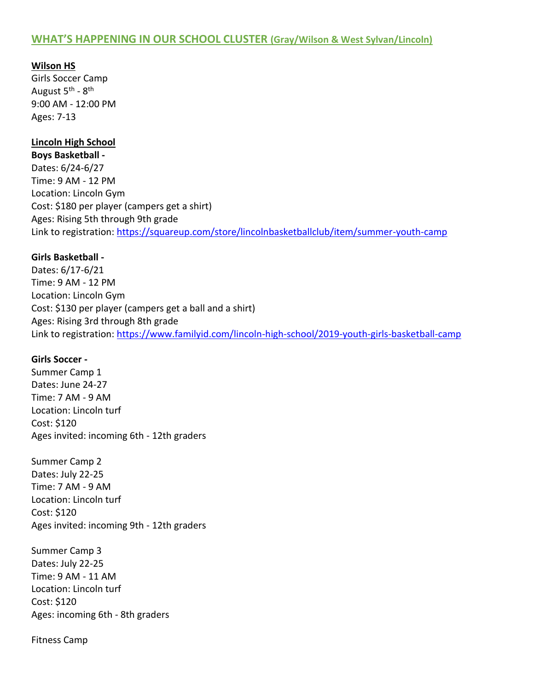# **WHAT'S HAPPENING IN OUR SCHOOL CLUSTER (Gray/Wilson & West Sylvan/Lincoln)**

**Wilson HS** Girls Soccer Camp August 5<sup>th</sup> - 8<sup>th</sup> 9:00 AM - 12:00 PM Ages: 7-13

#### **Lincoln High School**

**Boys Basketball -** Dates: 6/24-6/27 Time: 9 AM - 12 PM Location: Lincoln Gym Cost: \$180 per player (campers get a shirt) Ages: Rising 5th through 9th grade Link to registration:<https://squareup.com/store/lincolnbasketballclub/item/summer-youth-camp>

#### **Girls Basketball -**

Dates: 6/17-6/21 Time: 9 AM - 12 PM Location: Lincoln Gym Cost: \$130 per player (campers get a ball and a shirt) Ages: Rising 3rd through 8th grade Link to registration:<https://www.familyid.com/lincoln-high-school/2019-youth-girls-basketball-camp>

#### **Girls Soccer -**

Summer Camp 1 Dates: June 24-27 Time: 7 AM - 9 AM Location: Lincoln turf Cost: \$120 Ages invited: incoming 6th - 12th graders

Summer Camp 2 Dates: July 22-25 Time: 7 AM - 9 AM Location: Lincoln turf Cost: \$120 Ages invited: incoming 9th - 12th graders

Summer Camp 3 Dates: July 22-25 Time: 9 AM - 11 AM Location: Lincoln turf Cost: \$120 Ages: incoming 6th - 8th graders

Fitness Camp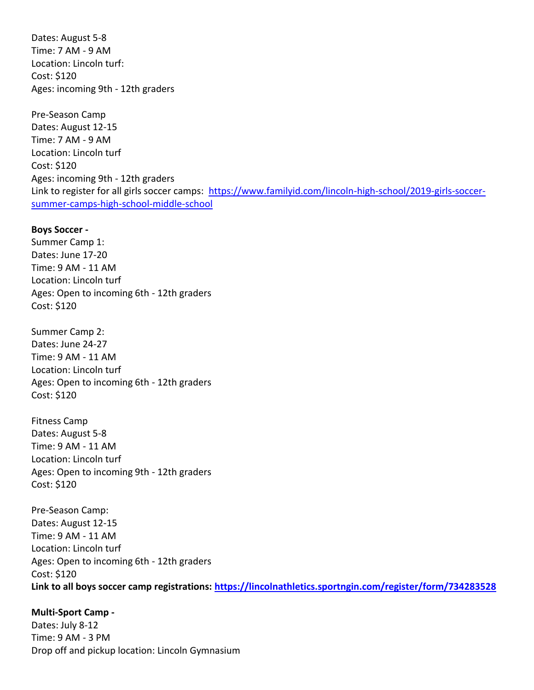Dates: August 5-8 Time: 7 AM - 9 AM Location: Lincoln turf: Cost: \$120 Ages: incoming 9th - 12th graders

Pre-Season Camp Dates: August 12-15 Time: 7 AM - 9 AM Location: Lincoln turf Cost: \$120 Ages: incoming 9th - 12th graders Link to register for all girls soccer camps: [https://www.familyid.com/lincoln-high-school/2019-girls-soccer](https://www.familyid.com/lincoln-high-school/2019-girls-soccer-summer-camps-high-school-middle-school)[summer-camps-high-school-middle-school](https://www.familyid.com/lincoln-high-school/2019-girls-soccer-summer-camps-high-school-middle-school)

#### **Boys Soccer -**

Summer Camp 1: Dates: June 17-20 Time: 9 AM - 11 AM Location: Lincoln turf Ages: Open to incoming 6th - 12th graders Cost: \$120

Summer Camp 2: Dates: June 24-27 Time: 9 AM - 11 AM Location: Lincoln turf Ages: Open to incoming 6th - 12th graders Cost: \$120

Fitness Camp Dates: August 5-8 Time: 9 AM - 11 AM Location: Lincoln turf Ages: Open to incoming 9th - 12th graders Cost: \$120

Pre-Season Camp: Dates: August 12-15 Time: 9 AM - 11 AM Location: Lincoln turf Ages: Open to incoming 6th - 12th graders Cost: \$120 **Link to all boys soccer camp registrations:<https://lincolnathletics.sportngin.com/register/form/734283528>**

#### **Multi-Sport Camp -**

Dates: July 8-12 Time: 9 AM - 3 PM Drop off and pickup location: Lincoln Gymnasium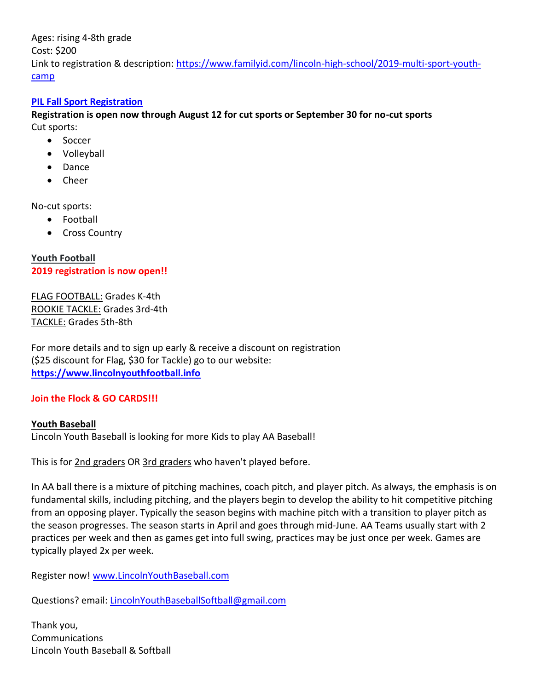Ages: rising 4-8th grade Cost: \$200 Link to registration & description: [https://www.familyid.com/lincoln-high-school/2019-multi-sport-youth](https://www.familyid.com/lincoln-high-school/2019-multi-sport-youth-camp)[camp](https://www.familyid.com/lincoln-high-school/2019-multi-sport-youth-camp)

#### **[PIL Fall Sport Registration](https://www.familyid.com/lincoln-high-school/2019-fall-sport-registration)**

**Registration is open now through August 12 for cut sports or September 30 for no-cut sports** Cut sports:

- Soccer
	- Volleyball
	- Dance
	- Cheer

No-cut sports:

- Football
- Cross Country

**Youth Football 2019 registration is now open!!**

FLAG FOOTBALL: Grades K-4th ROOKIE TACKLE: Grades 3rd-4th TACKLE: Grades 5th-8th

For more details and to sign up early & receive a discount on registration (\$25 discount for Flag, \$30 for Tackle) go to our website: **[https://www.lincolnyouthfootball.info](https://www.lincolnyouthfootball.info/registration-info)**

#### **Join the Flock & GO CARDS!!!**

**Youth Baseball** Lincoln Youth Baseball is looking for more Kids to play AA Baseball!

This is for 2nd graders OR 3rd graders who haven't played before.

In AA ball there is a mixture of pitching machines, coach pitch, and player pitch. As always, the emphasis is on fundamental skills, including pitching, and the players begin to develop the ability to hit competitive pitching from an opposing player. Typically the season begins with machine pitch with a transition to player pitch as the season progresses. The season starts in April and goes through mid-June. AA Teams usually start with 2 practices per week and then as games get into full swing, practices may be just once per week. Games are typically played 2x per week.

Register now! [www.LincolnYouthBaseball.com](http://www.lincolnyouthbaseball.com/)

Questions? email: [LincolnYouthBaseballSoftball@gmail.com](mailto:LincolnYouthBaseballSoftball@gmail.com)

Thank you, **Communications** Lincoln Youth Baseball & Softball